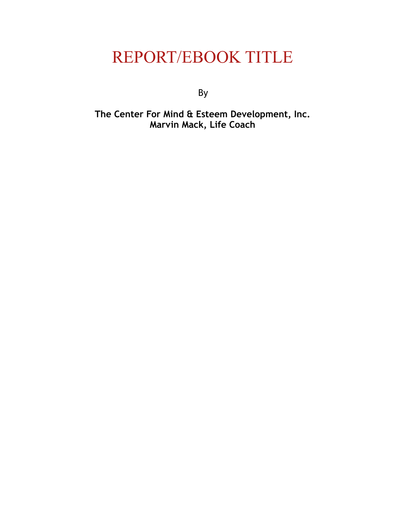# REPORT/EBOOK TITLE

By

**The Center For Mind & Esteem Development, Inc. Marvin Mack, Life Coach**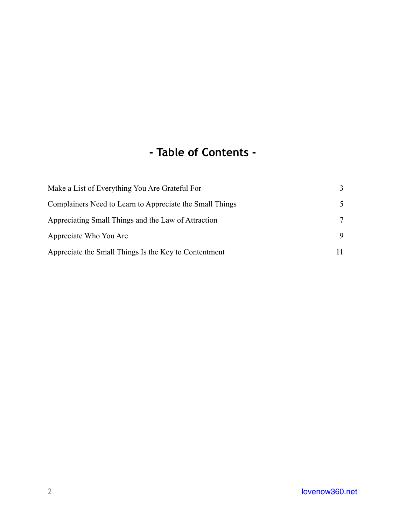#### **- Table of Contents -**

| Make a List of Everything You Are Grateful For           | 3  |
|----------------------------------------------------------|----|
| Complainers Need to Learn to Appreciate the Small Things | 5. |
| Appreciating Small Things and the Law of Attraction      | 7  |
| Appreciate Who You Are                                   | 9  |
| Appreciate the Small Things Is the Key to Contentment    |    |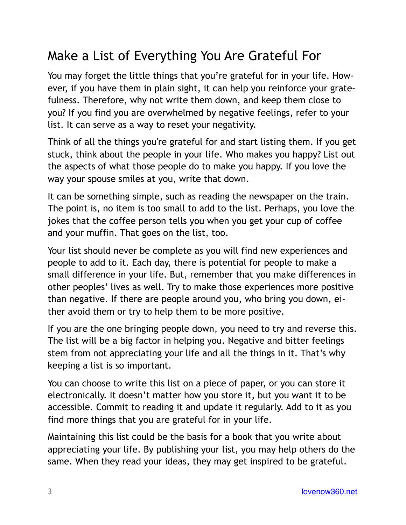## <span id="page-2-0"></span>Make a List of Everything You Are Grateful For

You may forget the little things that you're grateful for in your life. However, if you have them in plain sight, it can help you reinforce your gratefulness. Therefore, why not write them down, and keep them close to you? If you find you are overwhelmed by negative feelings, refer to your list. It can serve as a way to reset your negativity.

Think of all the things you're grateful for and start listing them. If you get stuck, think about the people in your life. Who makes you happy? List out the aspects of what those people do to make you happy. If you love the way your spouse smiles at you, write that down.

It can be something simple, such as reading the newspaper on the train. The point is, no item is too small to add to the list. Perhaps, you love the jokes that the coffee person tells you when you get your cup of coffee and your muffin. That goes on the list, too.

Your list should never be complete as you will find new experiences and people to add to it. Each day, there is potential for people to make a small difference in your life. But, remember that you make differences in other peoples' lives as well. Try to make those experiences more positive than negative. If there are people around you, who bring you down, either avoid them or try to help them to be more positive.

If you are the one bringing people down, you need to try and reverse this. The list will be a big factor in helping you. Negative and bitter feelings stem from not appreciating your life and all the things in it. That's why keeping a list is so important.

You can choose to write this list on a piece of paper, or you can store it electronically. It doesn't matter how you store it, but you want it to be accessible. Commit to reading it and update it regularly. Add to it as you find more things that you are grateful for in your life.

Maintaining this list could be the basis for a book that you write about appreciating your life. By publishing your list, you may help others do the same. When they read your ideas, they may get inspired to be grateful.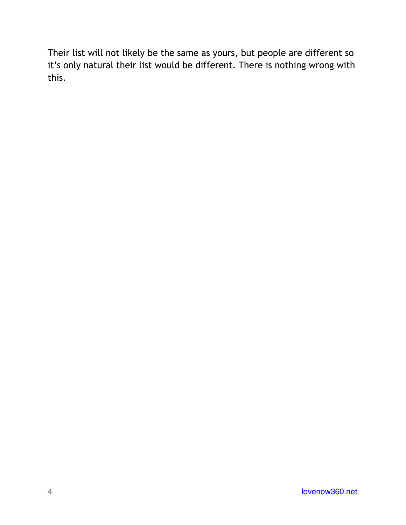Their list will not likely be the same as yours, but people are different so it's only natural their list would be different. There is nothing wrong with this.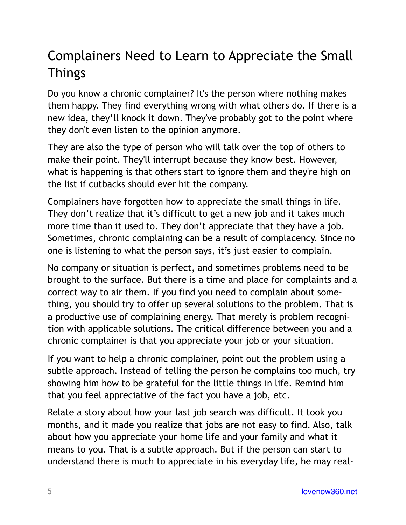## <span id="page-4-0"></span>Complainers Need to Learn to Appreciate the Small Things

Do you know a chronic complainer? It's the person where nothing makes them happy. They find everything wrong with what others do. If there is a new idea, they'll knock it down. They've probably got to the point where they don't even listen to the opinion anymore.

They are also the type of person who will talk over the top of others to make their point. They'll interrupt because they know best. However, what is happening is that others start to ignore them and they're high on the list if cutbacks should ever hit the company.

Complainers have forgotten how to appreciate the small things in life. They don't realize that it's difficult to get a new job and it takes much more time than it used to. They don't appreciate that they have a job. Sometimes, chronic complaining can be a result of complacency. Since no one is listening to what the person says, it's just easier to complain.

No company or situation is perfect, and sometimes problems need to be brought to the surface. But there is a time and place for complaints and a correct way to air them. If you find you need to complain about something, you should try to offer up several solutions to the problem. That is a productive use of complaining energy. That merely is problem recognition with applicable solutions. The critical difference between you and a chronic complainer is that you appreciate your job or your situation.

If you want to help a chronic complainer, point out the problem using a subtle approach. Instead of telling the person he complains too much, try showing him how to be grateful for the little things in life. Remind him that you feel appreciative of the fact you have a job, etc.

Relate a story about how your last job search was difficult. It took you months, and it made you realize that jobs are not easy to find. Also, talk about how you appreciate your home life and your family and what it means to you. That is a subtle approach. But if the person can start to understand there is much to appreciate in his everyday life, he may real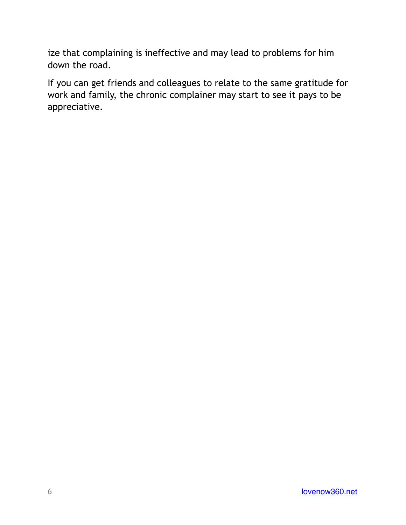ize that complaining is ineffective and may lead to problems for him down the road.

If you can get friends and colleagues to relate to the same gratitude for work and family, the chronic complainer may start to see it pays to be appreciative.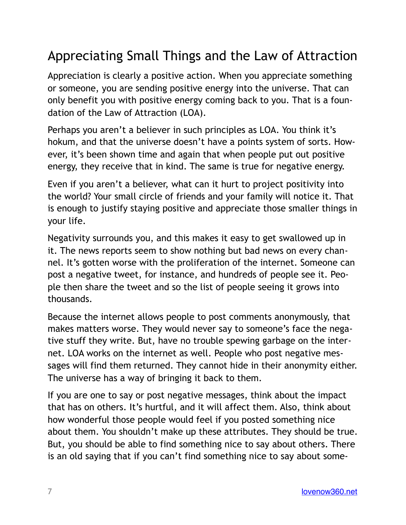## <span id="page-6-0"></span>Appreciating Small Things and the Law of Attraction

Appreciation is clearly a positive action. When you appreciate something or someone, you are sending positive energy into the universe. That can only benefit you with positive energy coming back to you. That is a foundation of the Law of Attraction (LOA).

Perhaps you aren't a believer in such principles as LOA. You think it's hokum, and that the universe doesn't have a points system of sorts. However, it's been shown time and again that when people put out positive energy, they receive that in kind. The same is true for negative energy.

Even if you aren't a believer, what can it hurt to project positivity into the world? Your small circle of friends and your family will notice it. That is enough to justify staying positive and appreciate those smaller things in your life.

Negativity surrounds you, and this makes it easy to get swallowed up in it. The news reports seem to show nothing but bad news on every channel. It's gotten worse with the proliferation of the internet. Someone can post a negative tweet, for instance, and hundreds of people see it. People then share the tweet and so the list of people seeing it grows into thousands.

Because the internet allows people to post comments anonymously, that makes matters worse. They would never say to someone's face the negative stuff they write. But, have no trouble spewing garbage on the internet. LOA works on the internet as well. People who post negative messages will find them returned. They cannot hide in their anonymity either. The universe has a way of bringing it back to them.

If you are one to say or post negative messages, think about the impact that has on others. It's hurtful, and it will affect them. Also, think about how wonderful those people would feel if you posted something nice about them. You shouldn't make up these attributes. They should be true. But, you should be able to find something nice to say about others. There is an old saying that if you can't find something nice to say about some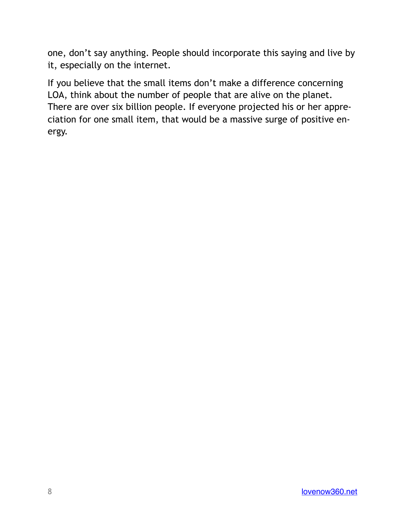one, don't say anything. People should incorporate this saying and live by it, especially on the internet.

If you believe that the small items don't make a difference concerning LOA, think about the number of people that are alive on the planet. There are over six billion people. If everyone projected his or her appreciation for one small item, that would be a massive surge of positive energy.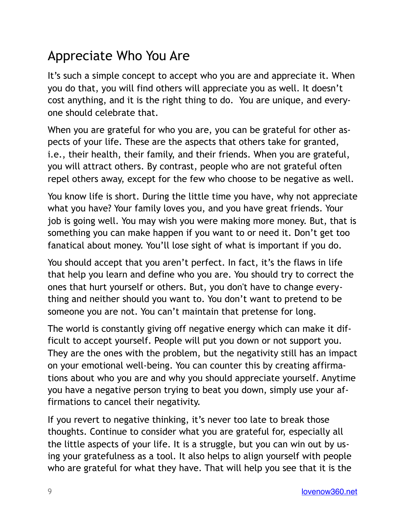#### <span id="page-8-0"></span>Appreciate Who You Are

It's such a simple concept to accept who you are and appreciate it. When you do that, you will find others will appreciate you as well. It doesn't cost anything, and it is the right thing to do. You are unique, and everyone should celebrate that.

When you are grateful for who you are, you can be grateful for other aspects of your life. These are the aspects that others take for granted, i.e., their health, their family, and their friends. When you are grateful, you will attract others. By contrast, people who are not grateful often repel others away, except for the few who choose to be negative as well.

You know life is short. During the little time you have, why not appreciate what you have? Your family loves you, and you have great friends. Your job is going well. You may wish you were making more money. But, that is something you can make happen if you want to or need it. Don't get too fanatical about money. You'll lose sight of what is important if you do.

You should accept that you aren't perfect. In fact, it's the flaws in life that help you learn and define who you are. You should try to correct the ones that hurt yourself or others. But, you don't have to change everything and neither should you want to. You don't want to pretend to be someone you are not. You can't maintain that pretense for long.

The world is constantly giving off negative energy which can make it difficult to accept yourself. People will put you down or not support you. They are the ones with the problem, but the negativity still has an impact on your emotional well-being. You can counter this by creating affirmations about who you are and why you should appreciate yourself. Anytime you have a negative person trying to beat you down, simply use your affirmations to cancel their negativity.

If you revert to negative thinking, it's never too late to break those thoughts. Continue to consider what you are grateful for, especially all the little aspects of your life. It is a struggle, but you can win out by using your gratefulness as a tool. It also helps to align yourself with people who are grateful for what they have. That will help you see that it is the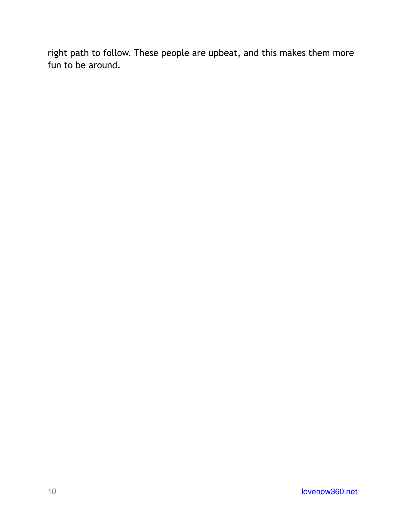right path to follow. These people are upbeat, and this makes them more fun to be around.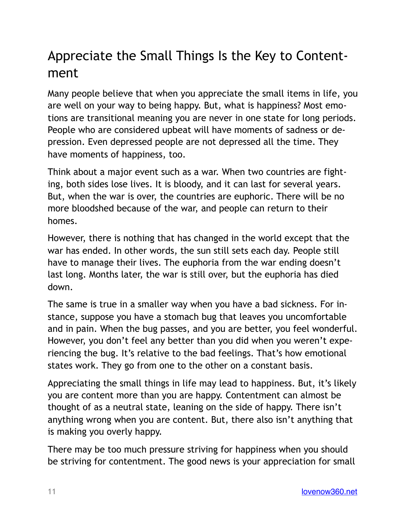## <span id="page-10-0"></span>Appreciate the Small Things Is the Key to Contentment

Many people believe that when you appreciate the small items in life, you are well on your way to being happy. But, what is happiness? Most emotions are transitional meaning you are never in one state for long periods. People who are considered upbeat will have moments of sadness or depression. Even depressed people are not depressed all the time. They have moments of happiness, too.

Think about a major event such as a war. When two countries are fighting, both sides lose lives. It is bloody, and it can last for several years. But, when the war is over, the countries are euphoric. There will be no more bloodshed because of the war, and people can return to their homes.

However, there is nothing that has changed in the world except that the war has ended. In other words, the sun still sets each day. People still have to manage their lives. The euphoria from the war ending doesn't last long. Months later, the war is still over, but the euphoria has died down.

The same is true in a smaller way when you have a bad sickness. For instance, suppose you have a stomach bug that leaves you uncomfortable and in pain. When the bug passes, and you are better, you feel wonderful. However, you don't feel any better than you did when you weren't experiencing the bug. It's relative to the bad feelings. That's how emotional states work. They go from one to the other on a constant basis.

Appreciating the small things in life may lead to happiness. But, it's likely you are content more than you are happy. Contentment can almost be thought of as a neutral state, leaning on the side of happy. There isn't anything wrong when you are content. But, there also isn't anything that is making you overly happy.

There may be too much pressure striving for happiness when you should be striving for contentment. The good news is your appreciation for small